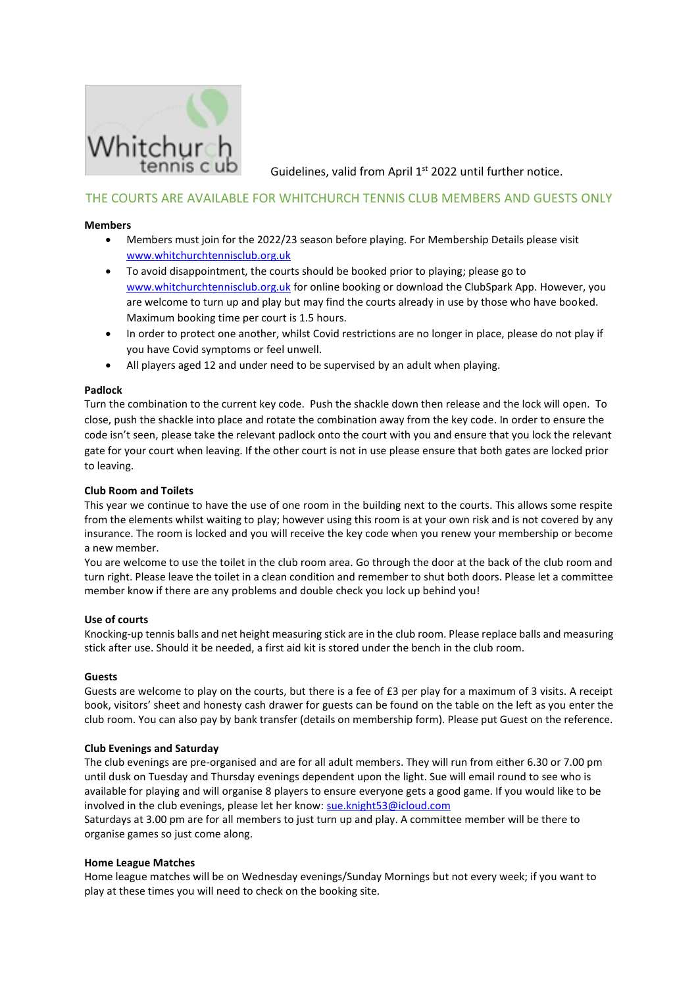

Guidelines, valid from April 1<sup>st</sup> 2022 until further notice.

# THE COURTS ARE AVAILABLE FOR WHITCHURCH TENNIS CLUB MEMBERS AND GUESTS ONLY

# **Members**

- Members must join for the 2022/23 season before playing. For Membership Details please visit [www.whitchurchtennisclub.org.uk](http://www.whitchurchtennisclub.org.uk/)
- To avoid disappointment, the courts should be booked prior to playing; please go to [www.whitchurchtennisclub.org.uk](http://www.whitchurchtennisclub.org.uk/) for online booking or download the ClubSpark App. However, you are welcome to turn up and play but may find the courts already in use by those who have booked. Maximum booking time per court is 1.5 hours.
- In order to protect one another, whilst Covid restrictions are no longer in place, please do not play if you have Covid symptoms or feel unwell.
- All players aged 12 and under need to be supervised by an adult when playing.

# **Padlock**

Turn the combination to the current key code. Push the shackle down then release and the lock will open. To close, push the shackle into place and rotate the combination away from the key code. In order to ensure the code isn't seen, please take the relevant padlock onto the court with you and ensure that you lock the relevant gate for your court when leaving. If the other court is not in use please ensure that both gates are locked prior to leaving.

# **Club Room and Toilets**

This year we continue to have the use of one room in the building next to the courts. This allows some respite from the elements whilst waiting to play; however using this room is at your own risk and is not covered by any insurance. The room is locked and you will receive the key code when you renew your membership or become a new member.

You are welcome to use the toilet in the club room area. Go through the door at the back of the club room and turn right. Please leave the toilet in a clean condition and remember to shut both doors. Please let a committee member know if there are any problems and double check you lock up behind you!

# **Use of courts**

Knocking-up tennis balls and net height measuring stick are in the club room. Please replace balls and measuring stick after use. Should it be needed, a first aid kit is stored under the bench in the club room.

### **Guests**

Guests are welcome to play on the courts, but there is a fee of £3 per play for a maximum of 3 visits. A receipt book, visitors' sheet and honesty cash drawer for guests can be found on the table on the left as you enter the club room. You can also pay by bank transfer (details on membership form). Please put Guest on the reference.

### **Club Evenings and Saturday**

The club evenings are pre-organised and are for all adult members. They will run from either 6.30 or 7.00 pm until dusk on Tuesday and Thursday evenings dependent upon the light. Sue will email round to see who is available for playing and will organise 8 players to ensure everyone gets a good game. If you would like to be involved in the club evenings, please let her know[: sue.knight53@icloud.com](mailto:sue.knight53@icloud.com)

Saturdays at 3.00 pm are for all members to just turn up and play. A committee member will be there to organise games so just come along.

# **Home League Matches**

Home league matches will be on Wednesday evenings/Sunday Mornings but not every week; if you want to play at these times you will need to check on the booking site.